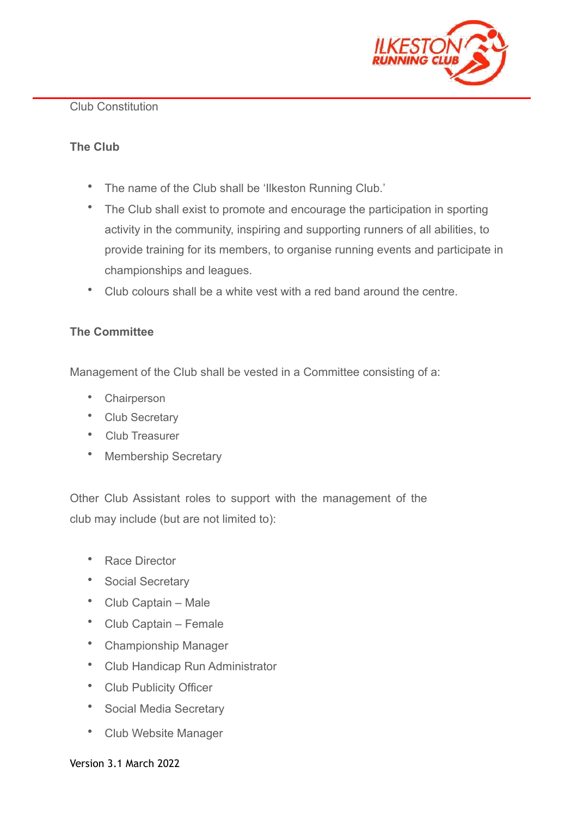

#### Club Constitution

## **The Club**

- The name of the Club shall be 'Ilkeston Running Club.'
- The Club shall exist to promote and encourage the participation in sporting activity in the community, inspiring and supporting runners of all abilities, to provide training for its members, to organise running events and participate in championships and leagues.
- Club colours shall be a white vest with a red band around the centre.

## **The Committee**

Management of the Club shall be vested in a Committee consisting of a:

- **Chairperson**
- Club Secretary
- Club Treasurer
- Membership Secretary

Other Club Assistant roles to support with the management of the club may include (but are not limited to):

- Race Director
- Social Secretary
- Club Captain Male
- Club Captain Female
- Championship Manager
- Club Handicap Run Administrator
- Club Publicity Officer
- Social Media Secretary
- Club Website Manager

#### Version 3.1 March 2022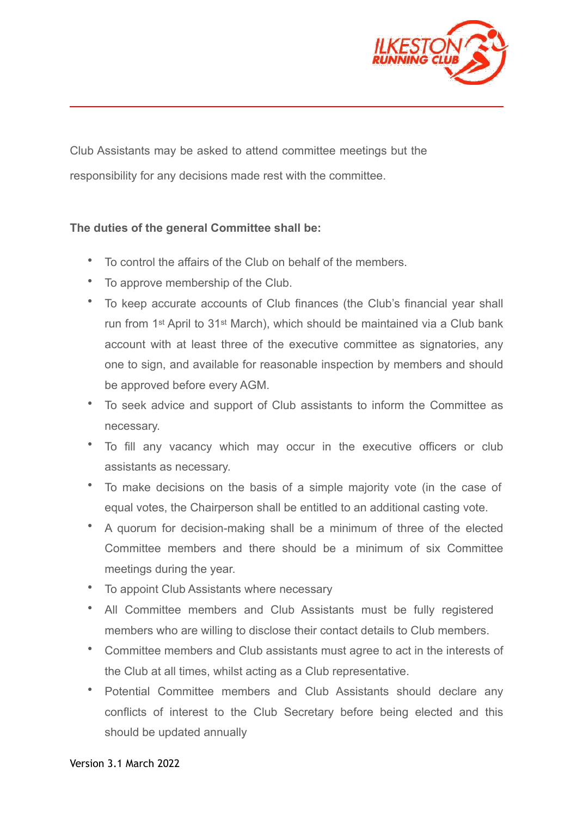

Club Assistants may be asked to attend committee meetings but the responsibility for any decisions made rest with the committee.

## **The duties of the general Committee shall be:**

l,

- To control the affairs of the Club on behalf of the members.
- To approve membership of the Club.
- To keep accurate accounts of Club finances (the Club's financial year shall run from 1st April to 31st March), which should be maintained via a Club bank account with at least three of the executive committee as signatories, any one to sign, and available for reasonable inspection by members and should be approved before every AGM.
- To seek advice and support of Club assistants to inform the Committee as necessary.
- To fill any vacancy which may occur in the executive officers or club assistants as necessary.
- To make decisions on the basis of a simple majority vote (in the case of equal votes, the Chairperson shall be entitled to an additional casting vote.
- A quorum for decision-making shall be a minimum of three of the elected Committee members and there should be a minimum of six Committee meetings during the year.
- To appoint Club Assistants where necessary
- All Committee members and Club Assistants must be fully registered members who are willing to disclose their contact details to Club members.
- Committee members and Club assistants must agree to act in the interests of the Club at all times, whilst acting as a Club representative.
- Potential Committee members and Club Assistants should declare any conflicts of interest to the Club Secretary before being elected and this should be updated annually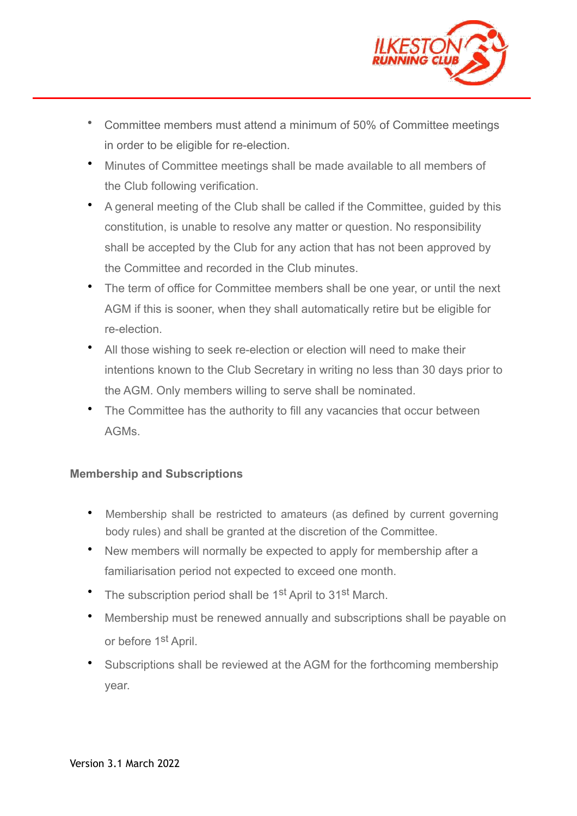

- Committee members must attend a minimum of 50% of Committee meetings in order to be eligible for re-election.
- Minutes of Committee meetings shall be made available to all members of the Club following verification.
- A general meeting of the Club shall be called if the Committee, guided by this constitution, is unable to resolve any matter or question. No responsibility shall be accepted by the Club for any action that has not been approved by the Committee and recorded in the Club minutes.
- The term of office for Committee members shall be one year, or until the next AGM if this is sooner, when they shall automatically retire but be eligible for re-election.
- All those wishing to seek re-election or election will need to make their intentions known to the Club Secretary in writing no less than 30 days prior to the AGM. Only members willing to serve shall be nominated.
- The Committee has the authority to fill any vacancies that occur between AGMs.

## **Membership and Subscriptions**

- Membership shall be restricted to amateurs (as defined by current governing body rules) and shall be granted at the discretion of the Committee.
- New members will normally be expected to apply for membership after a familiarisation period not expected to exceed one month.
- The subscription period shall be 1<sup>st</sup> April to 31<sup>st</sup> March.
- Membership must be renewed annually and subscriptions shall be payable on or before 1<sup>st</sup> April.
- Subscriptions shall be reviewed at the AGM for the forthcoming membership year.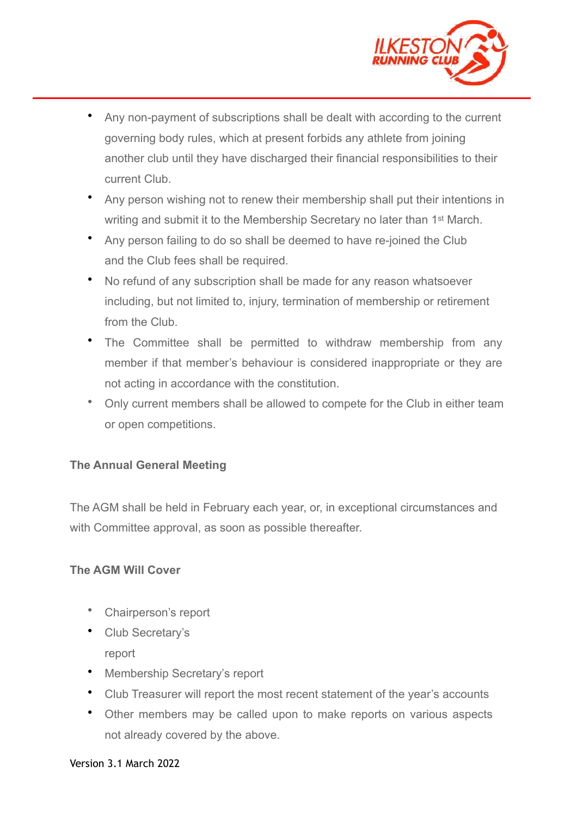

- Any non-payment of subscriptions shall be dealt with according to the current governing body rules, which at present forbids any athlete from joining another club until they have discharged their financial responsibilities to their current Club.
- Any person wishing not to renew their membership shall put their intentions in writing and submit it to the Membership Secretary no later than 1<sup>st</sup> March.
- Any person failing to do so shall be deemed to have re-joined the Club and the Club fees shall be required.
- No refund of any subscription shall be made for any reason whatsoever including, but not limited to, injury, termination of membership or retirement from the Club.
- The Committee shall be permitted to withdraw membership from any member if that member's behaviour is considered inappropriate or they are not acting in accordance with the constitution.
- Only current members shall be allowed to compete for the Club in either team or open competitions.

# **The Annual General Meeting**

The AGM shall be held in February each year, or, in exceptional circumstances and with Committee approval, as soon as possible thereafter.

## **The AGM Will Cover**

- Chairperson's report
- Club Secretary's report
- Membership Secretary's report
- Club Treasurer will report the most recent statement of the year's accounts
- Other members may be called upon to make reports on various aspects not already covered by the above.

#### Version 3.1 March 2022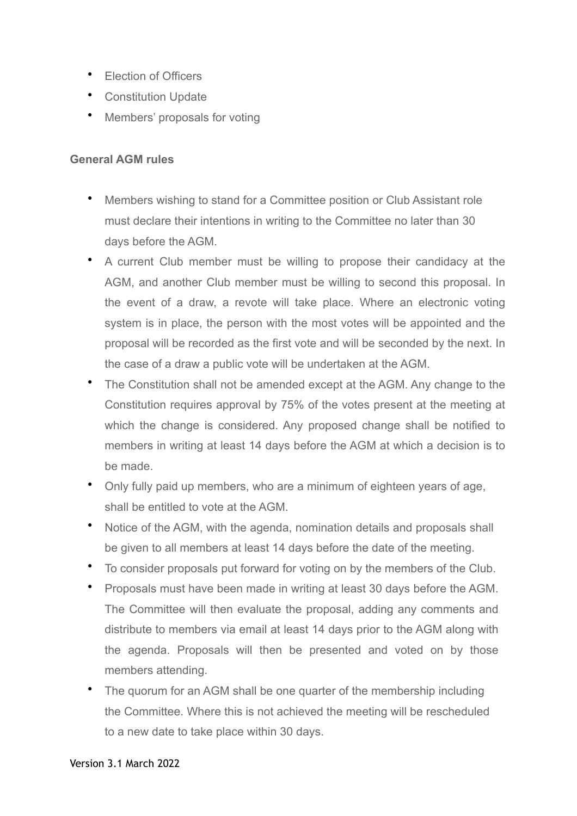- Election of Officers
- Constitution Update
- Members' proposals for voting

#### **General AGM rules**

- Members wishing to stand for a Committee position or Club Assistant role must declare their intentions in writing to the Committee no later than 30 days before the AGM.
- A current Club member must be willing to propose their candidacy at the AGM, and another Club member must be willing to second this proposal. In the event of a draw, a revote will take place. Where an electronic voting system is in place, the person with the most votes will be appointed and the proposal will be recorded as the first vote and will be seconded by the next. In the case of a draw a public vote will be undertaken at the AGM.
- The Constitution shall not be amended except at the AGM. Any change to the Constitution requires approval by 75% of the votes present at the meeting at which the change is considered. Any proposed change shall be notified to members in writing at least 14 days before the AGM at which a decision is to be made.
- Only fully paid up members, who are a minimum of eighteen years of age, shall be entitled to vote at the AGM.
- Notice of the AGM, with the agenda, nomination details and proposals shall be given to all members at least 14 days before the date of the meeting.
- To consider proposals put forward for voting on by the members of the Club.
- Proposals must have been made in writing at least 30 days before the AGM. The Committee will then evaluate the proposal, adding any comments and distribute to members via email at least 14 days prior to the AGM along with the agenda. Proposals will then be presented and voted on by those members attending.
- The quorum for an AGM shall be one quarter of the membership including the Committee. Where this is not achieved the meeting will be rescheduled to a new date to take place within 30 days.